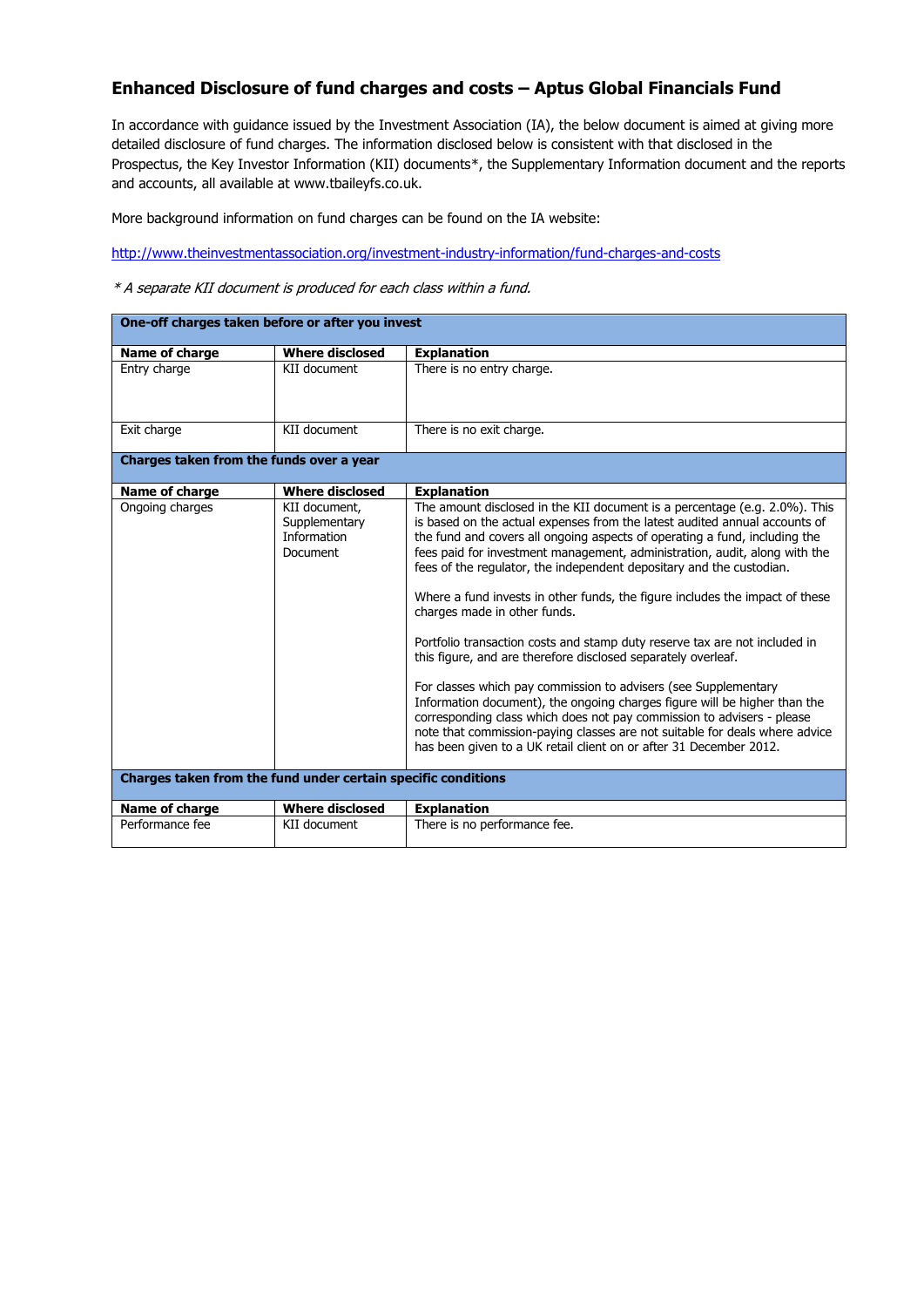## **Enhanced Disclosure of fund charges and costs – Aptus Global Financials Fund**

In accordance with guidance issued by the Investment Association (IA), the below document is aimed at giving more detailed disclosure of fund charges. The information disclosed below is consistent with that disclosed in the Prospectus, the Key Investor Information (KII) documents\*, the Supplementary Information document and the reports and accounts, all available at www.tbaileyfs.co.uk.

More background information on fund charges can be found on the IA website:

<http://www.theinvestmentassociation.org/investment-industry-information/fund-charges-and-costs>

\* A separate KII document is produced for each class within a fund.

| One-off charges taken before or after you invest              |                                                           |                                                                                                                                                                                                                                                                                                                                                                                                                                                                                                                                                                                                                                                                                                                                                                                                                                                                                                                                                                                                                                            |  |  |  |
|---------------------------------------------------------------|-----------------------------------------------------------|--------------------------------------------------------------------------------------------------------------------------------------------------------------------------------------------------------------------------------------------------------------------------------------------------------------------------------------------------------------------------------------------------------------------------------------------------------------------------------------------------------------------------------------------------------------------------------------------------------------------------------------------------------------------------------------------------------------------------------------------------------------------------------------------------------------------------------------------------------------------------------------------------------------------------------------------------------------------------------------------------------------------------------------------|--|--|--|
| Name of charge                                                | <b>Where disclosed</b>                                    | <b>Explanation</b>                                                                                                                                                                                                                                                                                                                                                                                                                                                                                                                                                                                                                                                                                                                                                                                                                                                                                                                                                                                                                         |  |  |  |
| Entry charge                                                  | KII document                                              | There is no entry charge.                                                                                                                                                                                                                                                                                                                                                                                                                                                                                                                                                                                                                                                                                                                                                                                                                                                                                                                                                                                                                  |  |  |  |
| Exit charge                                                   | KII document                                              | There is no exit charge.                                                                                                                                                                                                                                                                                                                                                                                                                                                                                                                                                                                                                                                                                                                                                                                                                                                                                                                                                                                                                   |  |  |  |
| Charges taken from the funds over a year                      |                                                           |                                                                                                                                                                                                                                                                                                                                                                                                                                                                                                                                                                                                                                                                                                                                                                                                                                                                                                                                                                                                                                            |  |  |  |
| Name of charge                                                | <b>Where disclosed</b>                                    | <b>Explanation</b>                                                                                                                                                                                                                                                                                                                                                                                                                                                                                                                                                                                                                                                                                                                                                                                                                                                                                                                                                                                                                         |  |  |  |
| Ongoing charges                                               | KII document.<br>Supplementary<br>Information<br>Document | The amount disclosed in the KII document is a percentage (e.g. 2.0%). This<br>is based on the actual expenses from the latest audited annual accounts of<br>the fund and covers all ongoing aspects of operating a fund, including the<br>fees paid for investment management, administration, audit, along with the<br>fees of the regulator, the independent depositary and the custodian.<br>Where a fund invests in other funds, the figure includes the impact of these<br>charges made in other funds.<br>Portfolio transaction costs and stamp duty reserve tax are not included in<br>this figure, and are therefore disclosed separately overleaf.<br>For classes which pay commission to advisers (see Supplementary<br>Information document), the ongoing charges figure will be higher than the<br>corresponding class which does not pay commission to advisers - please<br>note that commission-paying classes are not suitable for deals where advice<br>has been given to a UK retail client on or after 31 December 2012. |  |  |  |
| Charges taken from the fund under certain specific conditions |                                                           |                                                                                                                                                                                                                                                                                                                                                                                                                                                                                                                                                                                                                                                                                                                                                                                                                                                                                                                                                                                                                                            |  |  |  |
| Name of charge                                                | <b>Where disclosed</b>                                    | <b>Explanation</b>                                                                                                                                                                                                                                                                                                                                                                                                                                                                                                                                                                                                                                                                                                                                                                                                                                                                                                                                                                                                                         |  |  |  |
| Performance fee                                               | KII document                                              | There is no performance fee.                                                                                                                                                                                                                                                                                                                                                                                                                                                                                                                                                                                                                                                                                                                                                                                                                                                                                                                                                                                                               |  |  |  |